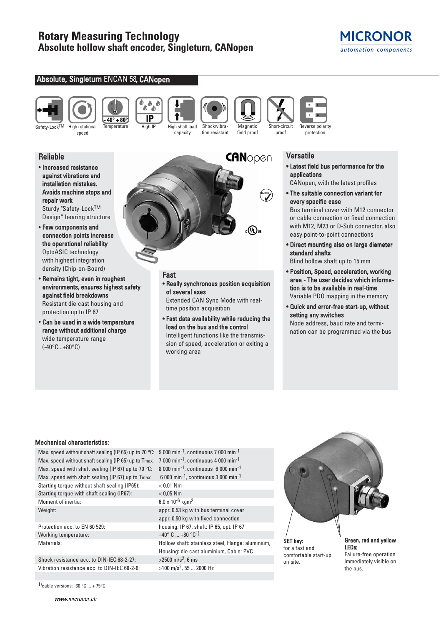# **Rotary Measuring Technology Absolute hollow shaft encoder, Singleturn, CANopen**

**DED** ۵

 $\overline{IP}$ 

# **MICRONOR** automation components

#### Absolute, Singleturn ENCAN 58, CANopen



 $40^\circ + 80^\circ$ 

Temperature High IP High shaft load







protection

# Reliable

• Increased resistance against vibrations and installation mistakes. Avoids machine stops and repair work Sturdy "Safety-LockTM

speed

Design" bearing structure • Few components and

- connection points increase the operational reliability OptoASIC technology with highest integration density (Chip-on-Board)
- Remains tight, even in roughest environments, ensures highest safety against field breakdowns Resistant die cast housing and protection up to IP 67
- Can be used in a wide temperature range without additional charge wide temperature range (-40°C...+80°C)



#### Fast • Really synchronous position acquisition of several axes

Extended CAN Sync Mode with realtime position acquisition

• Fast data availability while reducing the load on the bus and the control Intelligent functions like the transmission of speed, acceleration or exiting a working area

## **Versatile**

- Latest field bus performance for the applications
- CANopen, with the latest profiles
- The suitable connection variant for every specific case

Bus terminal cover with M12 connector or cable connection or fixed connection with M12, M23 or D-Sub connector, also easy point-to-point connections

- Direct mounting also on large diameter standard shafts Blind hollow shaft up to 15 mm
- Position, Speed, acceleration, working area - The user decides which information is to be available in real-time Variable PDO mapping in the memory
- Quick and error-free start-up, without setting any switches Node address, baud rate and termi-

nation can be programmed via the bus

### Mechanical characteristics:

Max. speed without shaft sealing (IP 65) up to 70 °C: 9 000 min<sup>-1</sup>, continuous 7 000 min<sup>-1</sup> Max. speed without shaft sealing (IP 65) up to Tmax: 7 000 min<sup>-1</sup>, continuous 4 000 min<sup>-1</sup> Max. speed with shaft sealing (IP 67) up to 70 °C: 8 000 min<sup>-1</sup>, continuous 6 000 min<sup>-1</sup> Max. speed with shaft sealing (IP 67) up to Tmax: 6 000 min<sup>-1</sup>, continuous 3 000 min<sup>-1</sup> Starting torque without shaft sealing (IP65): < 0.01 Nm Starting torque with shaft sealing (IP67): < 0,05 Nm Moment of inertia: 6.0 x 10<sup>-6</sup> kgm<sup>2</sup> Weight: Weight: **appr. 0.53 kg with bus terminal cover** 

Working temperature:  $-40^{\circ}$  C  $...+80^{\circ}$ C<sup>1</sup>)

Shock resistance acc. to DIN-IEC 68-2-27:  $>2500 \text{ m/s}^2$ , 6 ms Vibration resistance acc. to DIN-IEC 68-2-6:  $>100 \text{ m/s}^2$ , 55 ... 2000 Hz

1)cable versions: -30  $\degree$ C ... + 75 $\degree$ C

appr. 0.50 kg with fixed connection Protection acc. to EN 60 529: housing: IP 67, shaft: IP 65, opt. IP 67 Materials: Materials: Materials: Entitled States of Hollow shaft: stainless steel, Flange: aluminium, Housing: die cast aluminium, Cable: PVC

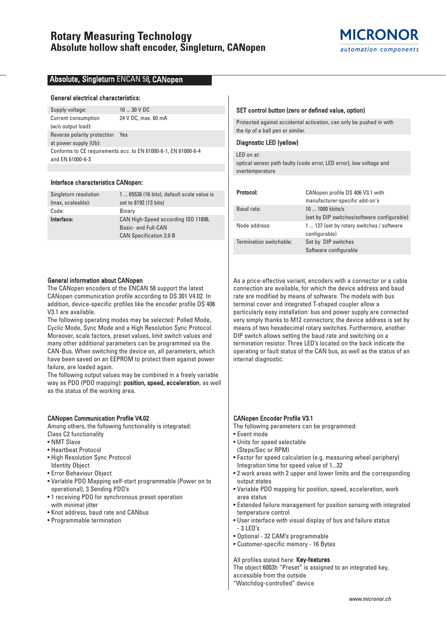### Absolute, Singleturn ENCAN 58, CANopen

#### General electrical characteristics:

Supply voltage: 10 ... 30 V DC Current consumption 24 V DC, max. 60 mA

(w/o output load): Reverse polarity protection Yes at power supply (Ub): Conforms to CE requirements acc. to EN 61000-6-1, EN 61000-6-4 and EN 61000-6-3

#### Interface characteristics CANopen:

| Singleturn resolution | 1  65536 (16 bits), default scale value is |
|-----------------------|--------------------------------------------|
| (max, scaleable):     | set to 8192 (13 bits)                      |
| Code:                 | Binary                                     |
| Interface:            | CAN High-Speed according ISO 11898,        |
|                       | Basic- and Full-CAN                        |
|                       | <b>CAN Specification 2.0 B</b>             |
|                       |                                            |

#### General information about CANopen

The CANopen encoders of the ENCAN 58 support the latest CANopen communication profile according to DS 301 V4.02. In addition, device-specific profiles like the encoder profile DS 406 V3.1 are available.

The following operating modes may be selected: Polled Mode, Cyclic Mode, Sync Mode and a High Resolution Sync Protocol. Moreover, scale factors, preset values, limit switch values and many other additional parameters can be programmed via the CAN-Bus. When switching the device on, all parameters, which have been saved on an EEPROM to protect them against power failure, are loaded again.

The following output values may be combined in a freely variable way as PDO (PDO mapping): position, speed, acceleration, as well as the status of the working area.

#### CANopen Communication Profile V4.02

Among others, the following functionality is integrated: Class C2 functionality

- NMT Slave
- Heartbeat Protocol
- High Resolution Sync Protocol Identity Object
- Error Behaviour Object
- 
- Variable PDO Mapping self-start programmable (Power on to operational), 3 Sending PDO's
- 1 receiving PDO for synchronous preset operation with minimal jitter
- Knot address, baud rate and CANbus
- Programmable termination

#### SET control button (zero or defined value, option)

Protected against accidental activation, can only be pushed in with the tip of a ball pen or similar.

### Diagnostic LED (yellow)

#### LED on at:

optical sensor path faulty (code error, LED error), low voltage and overtemperature

| Protocol:               | CANopen profile DS 406 V3.1 with<br>manufacturer-specific add-on's |
|-------------------------|--------------------------------------------------------------------|
| Baud rate:              | 10  1000 kbits/s                                                   |
|                         | (set by DIP switches/software configurable)                        |
| Node address:           | 1  127 (set by rotary switches / software<br>configurable)         |
| Termination switchable: | Set by DIP switches                                                |
|                         | Software configurable                                              |

As a price-effective variant, encoders with a connector or a cable connection are available, for which the device address and baud rate are modified by means of software. The models with bus terminal cover and integrated T-shaped coupler allow a particularly easy installation: bus and power supply are connected very simply thanks to M12 connectors; the device address is set by means of two hexadecimal rotary switches. Furthermore, another DIP switch allows setting the baud rate and switching on a termination resistor. Three LED's located on the back indicate the operating or fault status of the CAN bus, as well as the status of an internal diagnostic.

#### CANopen Encoder Profile V3.1

- The following parameters can be programmed:
- Event mode
- Units for speed selectable (Steps/Sec or RPM)
- Factor for speed calculation (e.g. measuring wheel periphery) Integration time for speed value of 1...32
- 2 work areas with 2 upper and lower limits and the corresponding output states
- Variable PDO mapping for position, speed, acceleration, work area status
- Extended failure management for position sensing with integrated temperature control
- User interface with visual display of bus and failure status - 3 LED's
- Optional 32 CAM's programmable
- Customer-specific memory 16 Bytes

#### All profiles stated here: Key-features

The object 6003h "Preset" is assigned to an integrated key,

- accessible from the outside
- "Watchdog-controlled" device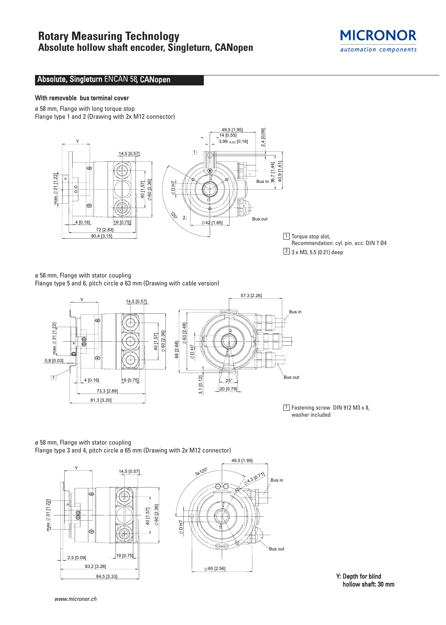# **Rotary Measuring Technology Absolute hollow shaft encoder, Singleturn, CANopen**



## Absolute, Singleturn ENCAN 58, CANopen

### With removable bus terminal cover

ø 58 mm, Flange with long torque stop Flange type 1 and 2 (Drawing with 2x M12 connector)



 $1$  Torque stop slot, Recommendation: cyl. pin. acc. DIN 7 Ø4  $\boxed{2}$  3 x M3, 5.5 [0.21] deep

ø 58 mm, Flange with stator coupling Flange type 5 and 6, pitch circle ø 63 mm (Drawing with cable version)



 $1$  Fastening screw DIN 912 M3 x 8, washer included

#### ø 58 mm, Flange with stator coupling Flange type 3 and 4, pitch circle ø 65 mm (Drawing with 2x M12 connector)



Y: Depth for blind hollow shaft: 30 mm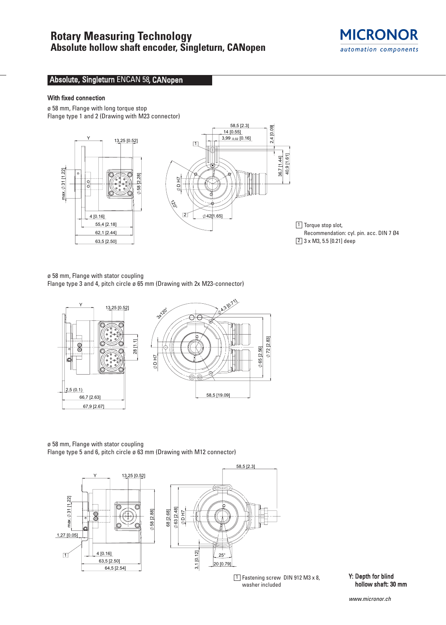

# Absolute, Singleturn ENCAN 58, CANopen

### With fixed connection

ø 58 mm, Flange with long torque stop Flange type 1 and 2 (Drawing with M23 connector)



 $1$  Torque stop slot, Recommendation: cyl. pin. acc. DIN 7 Ø4  $\boxed{2}$  3 x M3, 5.5 [0.21] deep

ø 58 mm, Flange with stator coupling

Flange type 3 and 4, pitch circle ø 65 mm (Drawing with 2x M23-connector)



ø 58 mm, Flange with stator coupling

Flange type 5 and 6, pitch circle ø 63 mm (Drawing with M12 connector)



 $\overline{1}$  Fastening screw DIN 912 M3 x 8,  $\overline{Y}$ : Depth for blind washer included

hollow shaft: 30 mm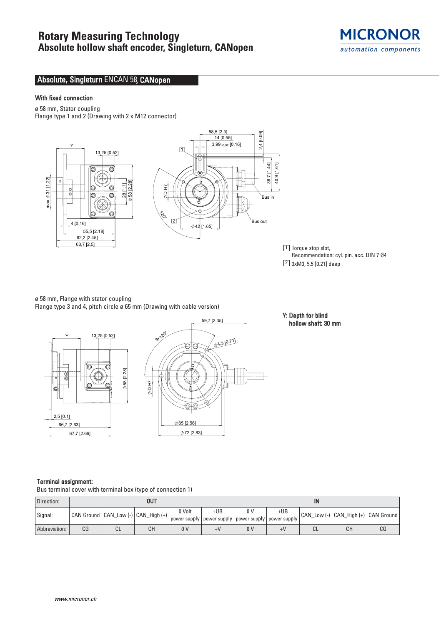# **Rotary Measuring Technology**

# **Absolute hollow shaft encoder, Singleturn, CANopen**



# Absolute, Singleturn ENCAN 58, CANopen

### With fixed connection

ø 58 mm, Stator coupling Flange type 1 and 2 (Drawing with 2 x M12 connector)



 $1$  Torque stop slot, Recommendation: cyl. pin. acc. DIN 7 Ø4  $\boxed{2}$  3xM3, 5.5 [0.21] deep

# ø 58 mm, Flange with stator coupling

Flange type 3 and 4, pitch circle ø 65 mm (Drawing with cable version)



#### Y: Depth for blind hollow shaft: 30 mm

#### Terminal assignment:

Bus terminal cover with terminal box (type of connection 1)

| Direction:    | <b>OUT</b> |    |                                         |                | IN                                                               |     |     |    |                                         |    |
|---------------|------------|----|-----------------------------------------|----------------|------------------------------------------------------------------|-----|-----|----|-----------------------------------------|----|
| Signal:       |            |    | CAN Ground   CAN_Low (-)   CAN_High (+) | 0 Volt         | +UB<br>power supply   power supply   power supply   power supply | 0 V | +UB |    | CAN_Low (-)   CAN_High (+)   CAN Ground |    |
| Abbreviation: | СG         | ◡∟ | CН                                      | 0 <sup>0</sup> |                                                                  | 0 V | +V  | СL | CН                                      | CG |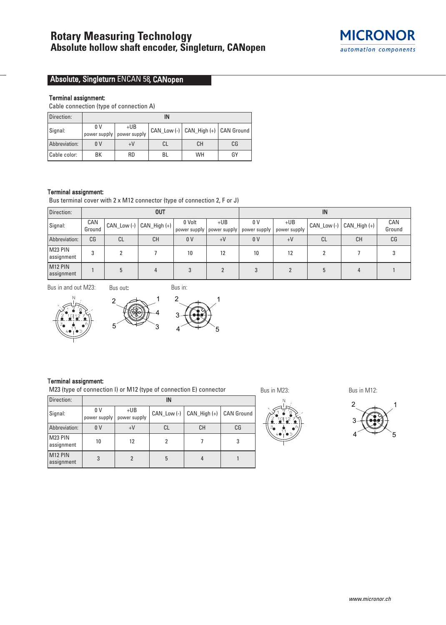

# Absolute, Singleturn ENCAN 58, CANopen

### Terminal assignment:

Cable connection (type of connection A)

| Direction:    | IN             |                                    |    |                                         |    |  |  |  |
|---------------|----------------|------------------------------------|----|-----------------------------------------|----|--|--|--|
| Signal:       | 0 V            | $+UB$<br>power supply power supply |    | CAN_Low (-)   CAN_High (+)   CAN Ground |    |  |  |  |
| Abbreviation: | 0 <sup>V</sup> | $+V$                               | СL | CН                                      | CG |  |  |  |
| Cable color:  | ВK             | <b>RD</b>                          | BL | <b>WH</b>                               | GY |  |  |  |

#### Terminal assignment:

Bus terminal cover with 2 x M12 connector (type of connection 2, F or J)

| Direction:                        | <b>OUT</b>    |             |                      |                        |                       | IN                  |                       |                 |                |               |
|-----------------------------------|---------------|-------------|----------------------|------------------------|-----------------------|---------------------|-----------------------|-----------------|----------------|---------------|
| Signal:                           | CAN<br>Ground | CAN_Low (-) | $ $ CAN_High (+) $ $ | 0 Volt<br>power supply | $+UB$<br>power supply | 0 V<br>power supply | $+UB$<br>power supply | $CAN$ Low $(-)$ | $CAM_High (+)$ | CAN<br>Ground |
| Abbreviation:                     | CG            | <b>CL</b>   | CН                   | 0 <sub>V</sub>         | $+V$                  | 0 <sub>V</sub>      | $+V$                  | CL              | СH             | CG            |
| M23 PIN<br>assignment             |               |             |                      | 10                     | 12                    | 10                  | 12                    |                 |                |               |
| M <sub>12</sub> PIN<br>assignment |               |             |                      |                        |                       |                     |                       |                 |                |               |

Bus in and out M23:







#### Terminal assignment:

M23 (type of connection I) or M12 (type of connection E) connector

| Direction:                        |                                |                       | IN            |                  |                   |
|-----------------------------------|--------------------------------|-----------------------|---------------|------------------|-------------------|
| Signal:                           | 0 <sup>V</sup><br>power supply | $+UB$<br>power supply | CAN Low $(-)$ | $CAN$ High $(+)$ | <b>CAN Ground</b> |
| Abbreviation:                     | 0 <sup>V</sup>                 | $+V$                  | СL            | CН               | CG                |
| M23 PIN<br>assignment             | 10                             | 12                    |               |                  |                   |
| M <sub>12</sub> PIN<br>assignment | 3                              |                       | 5             |                  |                   |



Bus in M23: Bus in M12: